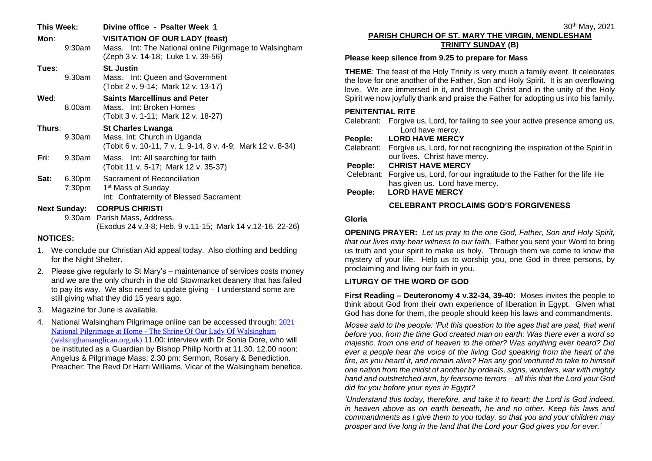| This Week:<br>Mon:  | $9:30$ am        | Divine office - Psalter Week 1<br><b>VISITATION OF OUR LADY (feast)</b><br>Mass. Int: The National online Pilgrimage to Walsingham<br>(Zeph 3 v. 14-18; Luke 1 v. 39-56) |
|---------------------|------------------|--------------------------------------------------------------------------------------------------------------------------------------------------------------------------|
| Tues∶               | 9.30am           | <b>St. Justin</b><br>Mass. Int: Queen and Government<br>(Tobit 2 v. 9-14; Mark 12 v. 13-17)                                                                              |
| Wed:                | 8.00am           | <b>Saints Marcellinus and Peter</b><br>Mass. Int: Broken Homes<br>(Tobit 3 v. 1-11; Mark 12 v. 18-27)                                                                    |
| Thurs:              | 9.30am           | <b>St Charles Lwanga</b><br>Mass. Int: Church in Uganda<br>(Tobit 6 v. 10-11, 7 v. 1, 9-14, 8 v. 4-9; Mark 12 v. 8-34)                                                   |
| Fri:                | 9.30am           | Mass. Int: All searching for faith<br>(Tobit 11 v. 5-17; Mark 12 v. 35-37)                                                                                               |
| Sat:                | 6.30pm<br>7:30pm | Sacrament of Reconciliation<br>1 <sup>st</sup> Mass of Sunday<br>Int: Confraternity of Blessed Sacrament                                                                 |
| <b>Next Sunday:</b> |                  | <b>CORPUS CHRISTI</b><br>9.30am Parish Mass, Address.<br>(Exodus 24 v.3-8; Heb. 9 v.11-15; Mark 14 v.12-16, 22-26)                                                       |

### **NOTICES:**

- 1. We conclude our Christian Aid appeal today. Also clothing and bedding for the Night Shelter.
- 2. Please give regularly to St Mary's maintenance of services costs money and we are the only church in the old Stowmarket deanery that has failed to pay its way. We also need to update giving – I understand some are still giving what they did 15 years ago.
- 3. Magazine for June is available.
- 4. National Walsingham Pilgrimage online can be accessed through: [2021](https://www.walsinghamanglican.org.uk/nationalpilgrmage2021/)  National Pilgrimage at Home - [The Shrine Of Our Lady Of Walsingham](https://www.walsinghamanglican.org.uk/nationalpilgrmage2021/)  [\(walsinghamanglican.org.uk\)](https://www.walsinghamanglican.org.uk/nationalpilgrmage2021/) 11.00: interview with Dr Sonia Dore, who will be instituted as a Guardian by Bishop Philip North at 11.30. 12.00 noon: Angelus & Pilgrimage Mass; 2.30 pm: Sermon, Rosary & Benediction. Preacher: The Revd Dr Harri Williams, Vicar of the Walsingham benefice.

#### 30th May, 2021 **PARISH CHURCH OF ST. MARY THE VIRGIN, MENDLESHAM TRINITY SUNDAY (B)**

### **Please keep silence from 9.25 to prepare for Mass**

**THEME**: The feast of the Holy Trinity is very much a family event. It celebrates the love for one another of the Father, Son and Holy Spirit. It is an overflowing love. We are immersed in it, and through Christ and in the unity of the Holy Spirit we now joyfully thank and praise the Father for adopting us into his family.

## **PENITENTIAL RITE**

|                 | Celebrant: Forgive us, Lord, for failing to see your active presence among us. |  |
|-----------------|--------------------------------------------------------------------------------|--|
|                 | Lord have mercy.                                                               |  |
| <b>December</b> | LADD UAVE MEDAV                                                                |  |

# **People: LORD HAVE MERCY**

Celebrant: Forgive us, Lord, for not recognizing the inspiration of the Spirit in our lives. Christ have mercy.

# **People: CHRIST HAVE MERCY**

- Celebrant: Forgive us, Lord, for our ingratitude to the Father for the life He has given us. Lord have mercy.
- **People: LORD HAVE MERCY**

# **CELEBRANT PROCLAIMS GOD'S FORGIVENESS**

### **Gloria**

**OPENING PRAYER:** *Let us pray to the one God, Father, Son and Holy Spirit, that our lives may bear witness to our faith.* Father you sent your Word to bring us truth and your spirit to make us holy. Through them we come to know the mystery of your life. Help us to worship you, one God in three persons, by proclaiming and living our faith in you.

### **LITURGY OF THE WORD OF GOD**

**First Reading – Deuteronomy 4 v.32-34, 39-40:** Moses invites the people to think about God from their own experience of liberation in Egypt. Given what God has done for them, the people should keep his laws and commandments.

*Moses said to the people: 'Put this question to the ages that are past, that went before you, from the time God created man on earth: Was there ever a word so majestic, from one end of heaven to the other? Was anything ever heard? Did ever a people hear the voice of the living God speaking from the heart of the fire, as you heard it, and remain alive? Has any god ventured to take to himself one nation from the midst of another by ordeals, signs, wonders, war with mighty hand and outstretched arm, by fearsome terrors – all this that the Lord your God did for you before your eyes in Egypt?*

*'Understand this today, therefore, and take it to heart: the Lord is God indeed, in heaven above as on earth beneath, he and no other. Keep his laws and commandments as I give them to you today, so that you and your children may prosper and live long in the land that the Lord your God gives you for ever.'*